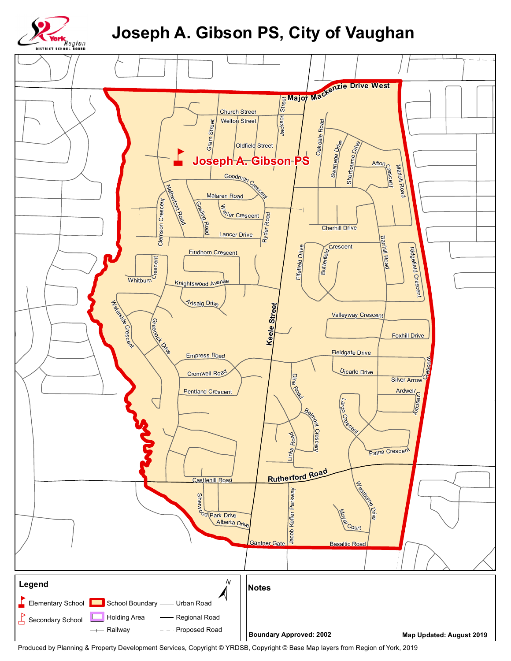

## **Joseph A. Gibson PS, City of Vaughan**



Produced by Planning & Property Development Services, Copyright © YRDSB, Copyright © Base Map layers from Region of York, 2019